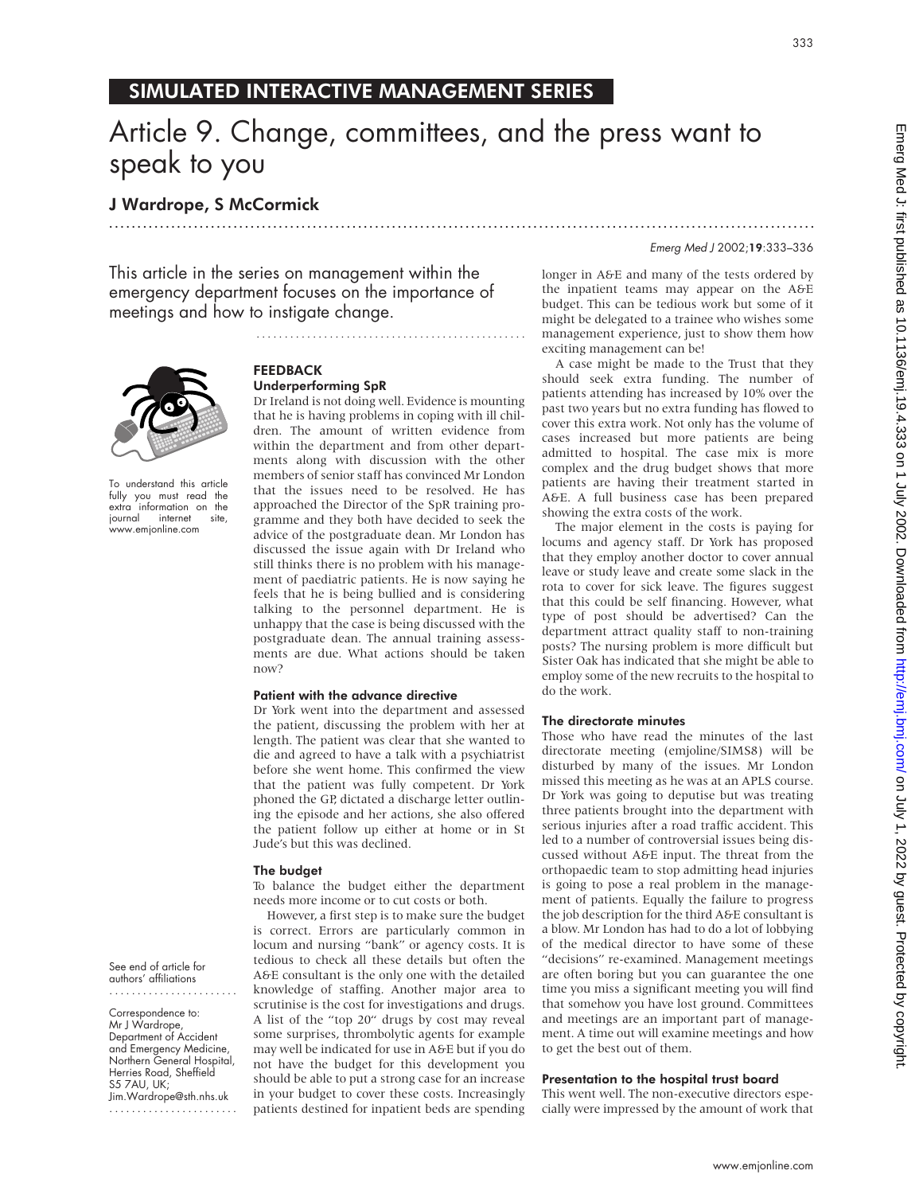# SIMULATED INTERACTIVE MANAGEMENT SERIES

# Article 9. Change, committees, and the press want to speak to you

.............................................................................................................................

# J Wardrope, S McCormick

This article in the series on management within the emergency department focuses on the importance of meetings and how to instigate change.



To understand this article fully you must read the extra information on the journal internet site, www.emjonline.com

See end of article for authors' affiliations .......................

Correspondence to: Mr J Wardrope, Department of Accident and Emergency Medicine, Northern General Hospital, Herries Road, Sheffield S5 7AU, UK; Jim.Wardrope@sth.nhs.uk .......................

# FEEDBACK Underperforming SpR

Dr Ireland is not doing well. Evidence is mounting that he is having problems in coping with ill children. The amount of written evidence from within the department and from other departments along with discussion with the other members of senior staff has convinced Mr London that the issues need to be resolved. He has approached the Director of the SpR training programme and they both have decided to seek the advice of the postgraduate dean. Mr London has discussed the issue again with Dr Ireland who still thinks there is no problem with his management of paediatric patients. He is now saying he feels that he is being bullied and is considering talking to the personnel department. He is unhappy that the case is being discussed with the postgraduate dean. The annual training assessments are due. What actions should be taken now?

................................................

#### Patient with the advance directive

Dr York went into the department and assessed the patient, discussing the problem with her at length. The patient was clear that she wanted to die and agreed to have a talk with a psychiatrist before she went home. This confirmed the view that the patient was fully competent. Dr York phoned the GP, dictated a discharge letter outlining the episode and her actions, she also offered the patient follow up either at home or in St Jude's but this was declined.

#### The budget

To balance the budget either the department needs more income or to cut costs or both.

However, a first step is to make sure the budget is correct. Errors are particularly common in locum and nursing "bank" or agency costs. It is tedious to check all these details but often the A&E consultant is the only one with the detailed knowledge of staffing. Another major area to scrutinise is the cost for investigations and drugs. A list of the "top 20" drugs by cost may reveal some surprises, thrombolytic agents for example may well be indicated for use in A&E but if you do not have the budget for this development you should be able to put a strong case for an increase in your budget to cover these costs. Increasingly patients destined for inpatient beds are spending

#### Emerg Med J 2002;19:333–336

longer in A&E and many of the tests ordered by the inpatient teams may appear on the A&E budget. This can be tedious work but some of it might be delegated to a trainee who wishes some management experience, just to show them how exciting management can be!

A case might be made to the Trust that they should seek extra funding. The number of patients attending has increased by 10% over the past two years but no extra funding has flowed to cover this extra work. Not only has the volume of cases increased but more patients are being admitted to hospital. The case mix is more complex and the drug budget shows that more patients are having their treatment started in A&E. A full business case has been prepared showing the extra costs of the work.

The major element in the costs is paying for locums and agency staff. Dr York has proposed that they employ another doctor to cover annual leave or study leave and create some slack in the rota to cover for sick leave. The figures suggest that this could be self financing. However, what type of post should be advertised? Can the department attract quality staff to non-training posts? The nursing problem is more difficult but Sister Oak has indicated that she might be able to employ some of the new recruits to the hospital to do the work.

## The directorate minutes

Those who have read the minutes of the last directorate meeting (emjoline/SIMS8) will be disturbed by many of the issues. Mr London missed this meeting as he was at an APLS course. Dr York was going to deputise but was treating three patients brought into the department with serious injuries after a road traffic accident. This led to a number of controversial issues being discussed without A&E input. The threat from the orthopaedic team to stop admitting head injuries is going to pose a real problem in the management of patients. Equally the failure to progress the job description for the third A&E consultant is a blow. Mr London has had to do a lot of lobbying of the medical director to have some of these "decisions" re-examined. Management meetings are often boring but you can guarantee the one time you miss a significant meeting you will find that somehow you have lost ground. Committees and meetings are an important part of management. A time out will examine meetings and how to get the best out of them.

#### Presentation to the hospital trust board

This went well. The non-executive directors especially were impressed by the amount of work that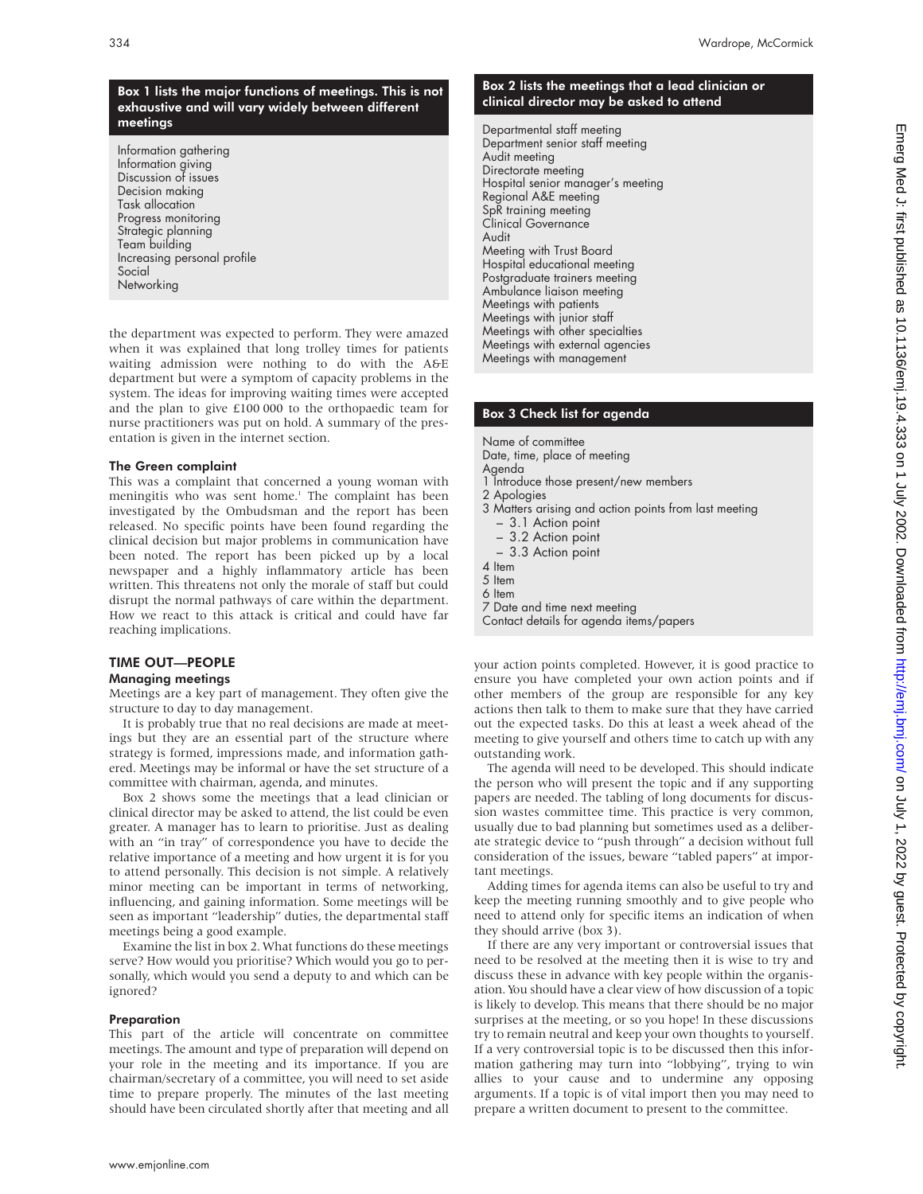# Box 1 lists the major functions of meetings. This is not exhaustive and will vary widely between different meetings

Information gathering Information giving Discussion of issues Decision making Task allocation Progress monitoring Strategic planning Team building Increasing personal profile Social **Networking** 

the department was expected to perform. They were amazed when it was explained that long trolley times for patients waiting admission were nothing to do with the A&E department but were a symptom of capacity problems in the system. The ideas for improving waiting times were accepted and the plan to give £100 000 to the orthopaedic team for nurse practitioners was put on hold. A summary of the presentation is given in the internet section.

## The Green complaint

This was a complaint that concerned a young woman with meningitis who was sent home.<sup>1</sup> The complaint has been investigated by the Ombudsman and the report has been released. No specific points have been found regarding the clinical decision but major problems in communication have been noted. The report has been picked up by a local newspaper and a highly inflammatory article has been written. This threatens not only the morale of staff but could disrupt the normal pathways of care within the department. How we react to this attack is critical and could have far reaching implications.

# TIME OUT—PEOPLE

Managing meetings

Meetings are a key part of management. They often give the structure to day to day management.

It is probably true that no real decisions are made at meetings but they are an essential part of the structure where strategy is formed, impressions made, and information gathered. Meetings may be informal or have the set structure of a committee with chairman, agenda, and minutes.

Box 2 shows some the meetings that a lead clinician or clinical director may be asked to attend, the list could be even greater. A manager has to learn to prioritise. Just as dealing with an "in tray" of correspondence you have to decide the relative importance of a meeting and how urgent it is for you to attend personally. This decision is not simple. A relatively minor meeting can be important in terms of networking, influencing, and gaining information. Some meetings will be seen as important "leadership" duties, the departmental staff meetings being a good example.

Examine the list in box 2. What functions do these meetings serve? How would you prioritise? Which would you go to personally, which would you send a deputy to and which can be ignored?

## Preparation

This part of the article will concentrate on committee meetings. The amount and type of preparation will depend on your role in the meeting and its importance. If you are chairman/secretary of a committee, you will need to set aside time to prepare properly. The minutes of the last meeting should have been circulated shortly after that meeting and all

# Box 2 lists the meetings that a lead clinician or clinical director may be asked to attend

Departmental staff meeting Department senior staff meeting Audit meeting Directorate meeting Hospital senior manager's meeting Regional A&E meeting SpR training meeting Clinical Governance Audit Meeting with Trust Board Hospital educational meeting Postgraduate trainers meeting Ambulance liaison meeting Meetings with patients Meetings with junior staff Meetings with other specialties Meetings with external agencies Meetings with management

# Box 3 Check list for agenda

Name of committee

Date, time, place of meeting Agenda

- 1 Introduce those present/new members
- 2 Apologies
- 3 Matters arising and action points from last meeting – 3.1 Action point
	-
	- 3.2 Action point
	- 3.3 Action point
- 4 Item
- 5 Item 6 Item
- 
- 7 Date and time next meeting Contact details for agenda items/papers

your action points completed. However, it is good practice to ensure you have completed your own action points and if other members of the group are responsible for any key actions then talk to them to make sure that they have carried out the expected tasks. Do this at least a week ahead of the meeting to give yourself and others time to catch up with any outstanding work.

The agenda will need to be developed. This should indicate the person who will present the topic and if any supporting papers are needed. The tabling of long documents for discussion wastes committee time. This practice is very common, usually due to bad planning but sometimes used as a deliberate strategic device to "push through" a decision without full consideration of the issues, beware "tabled papers" at important meetings.

Adding times for agenda items can also be useful to try and keep the meeting running smoothly and to give people who need to attend only for specific items an indication of when they should arrive (box 3).

If there are any very important or controversial issues that need to be resolved at the meeting then it is wise to try and discuss these in advance with key people within the organisation. You should have a clear view of how discussion of a topic is likely to develop. This means that there should be no major surprises at the meeting, or so you hope! In these discussions try to remain neutral and keep your own thoughts to yourself. If a very controversial topic is to be discussed then this information gathering may turn into "lobbying", trying to win allies to your cause and to undermine any opposing arguments. If a topic is of vital import then you may need to prepare a written document to present to the committee.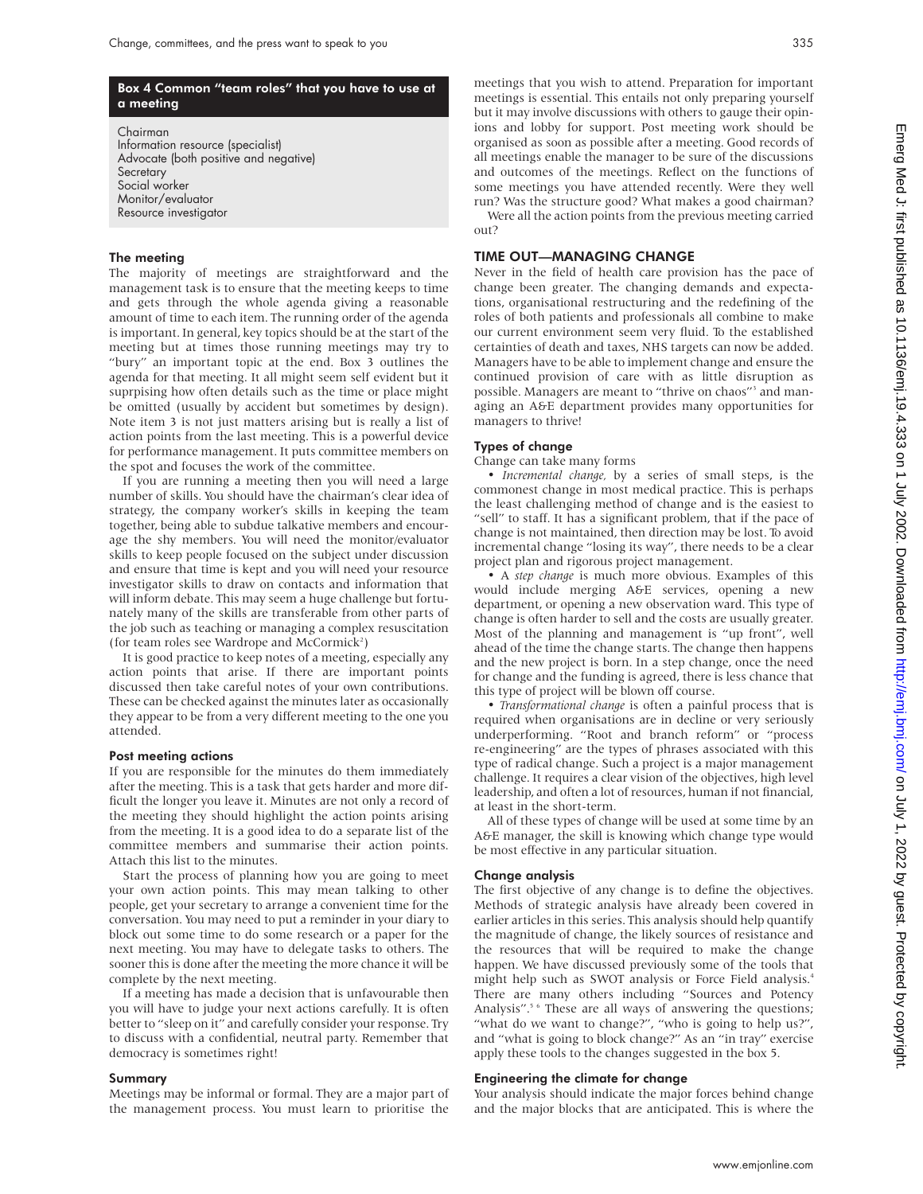## Box 4 Common "team roles" that you have to use at a meeting

Chairman Information resource (specialist) Advocate (both positive and negative) **Secretary** Social worker Monitor/evaluator Resource investigator

#### The meeting

The majority of meetings are straightforward and the management task is to ensure that the meeting keeps to time and gets through the whole agenda giving a reasonable amount of time to each item. The running order of the agenda is important. In general, key topics should be at the start of the meeting but at times those running meetings may try to "bury" an important topic at the end. Box 3 outlines the agenda for that meeting. It all might seem self evident but it suprpising how often details such as the time or place might be omitted (usually by accident but sometimes by design). Note item 3 is not just matters arising but is really a list of action points from the last meeting. This is a powerful device for performance management. It puts committee members on the spot and focuses the work of the committee.

If you are running a meeting then you will need a large number of skills. You should have the chairman's clear idea of strategy, the company worker's skills in keeping the team together, being able to subdue talkative members and encourage the shy members. You will need the monitor/evaluator skills to keep people focused on the subject under discussion and ensure that time is kept and you will need your resource investigator skills to draw on contacts and information that will inform debate. This may seem a huge challenge but fortunately many of the skills are transferable from other parts of the job such as teaching or managing a complex resuscitation (for team roles see Wardrope and McCormick<sup>2</sup>)

It is good practice to keep notes of a meeting, especially any action points that arise. If there are important points discussed then take careful notes of your own contributions. These can be checked against the minutes later as occasionally they appear to be from a very different meeting to the one you attended.

#### Post meeting actions

If you are responsible for the minutes do them immediately after the meeting. This is a task that gets harder and more difficult the longer you leave it. Minutes are not only a record of the meeting they should highlight the action points arising from the meeting. It is a good idea to do a separate list of the committee members and summarise their action points. Attach this list to the minutes.

Start the process of planning how you are going to meet your own action points. This may mean talking to other people, get your secretary to arrange a convenient time for the conversation. You may need to put a reminder in your diary to block out some time to do some research or a paper for the next meeting. You may have to delegate tasks to others. The sooner this is done after the meeting the more chance it will be complete by the next meeting.

If a meeting has made a decision that is unfavourable then you will have to judge your next actions carefully. It is often better to "sleep on it" and carefully consider your response. Try to discuss with a confidential, neutral party. Remember that democracy is sometimes right!

#### Summary

Meetings may be informal or formal. They are a major part of the management process. You must learn to prioritise the meetings that you wish to attend. Preparation for important meetings is essential. This entails not only preparing yourself but it may involve discussions with others to gauge their opinions and lobby for support. Post meeting work should be organised as soon as possible after a meeting. Good records of all meetings enable the manager to be sure of the discussions and outcomes of the meetings. Reflect on the functions of some meetings you have attended recently. Were they well run? Was the structure good? What makes a good chairman?

Were all the action points from the previous meeting carried out?

## TIME OUT—MANAGING CHANGE

Never in the field of health care provision has the pace of change been greater. The changing demands and expectations, organisational restructuring and the redefining of the roles of both patients and professionals all combine to make our current environment seem very fluid. To the established certainties of death and taxes, NHS targets can now be added. Managers have to be able to implement change and ensure the continued provision of care with as little disruption as possible. Managers are meant to "thrive on chaos"<sup>3</sup> and managing an A&E department provides many opportunities for managers to thrive!

#### Types of change

Change can take many forms

• *Incremental change,* by a series of small steps, is the commonest change in most medical practice. This is perhaps the least challenging method of change and is the easiest to "sell" to staff. It has a significant problem, that if the pace of change is not maintained, then direction may be lost. To avoid incremental change "losing its way", there needs to be a clear project plan and rigorous project management.

• A *step change* is much more obvious. Examples of this would include merging A&E services, opening a new department, or opening a new observation ward. This type of change is often harder to sell and the costs are usually greater. Most of the planning and management is "up front", well ahead of the time the change starts. The change then happens and the new project is born. In a step change, once the need for change and the funding is agreed, there is less chance that this type of project will be blown off course.

• *Transformational change* is often a painful process that is required when organisations are in decline or very seriously underperforming. "Root and branch reform" or "process re-engineering" are the types of phrases associated with this type of radical change. Such a project is a major management challenge. It requires a clear vision of the objectives, high level leadership, and often a lot of resources, human if not financial, at least in the short-term.

All of these types of change will be used at some time by an A&E manager, the skill is knowing which change type would be most effective in any particular situation.

#### Change analysis

The first objective of any change is to define the objectives. Methods of strategic analysis have already been covered in earlier articles in this series. This analysis should help quantify the magnitude of change, the likely sources of resistance and the resources that will be required to make the change happen. We have discussed previously some of the tools that might help such as SWOT analysis or Force Field analysis.4 There are many others including "Sources and Potency Analysis".<sup>5 6</sup> These are all ways of answering the questions; "what do we want to change?", "who is going to help us?", and "what is going to block change?" As an "in tray" exercise apply these tools to the changes suggested in the box 5.

#### Engineering the climate for change

Your analysis should indicate the major forces behind change and the major blocks that are anticipated. This is where the